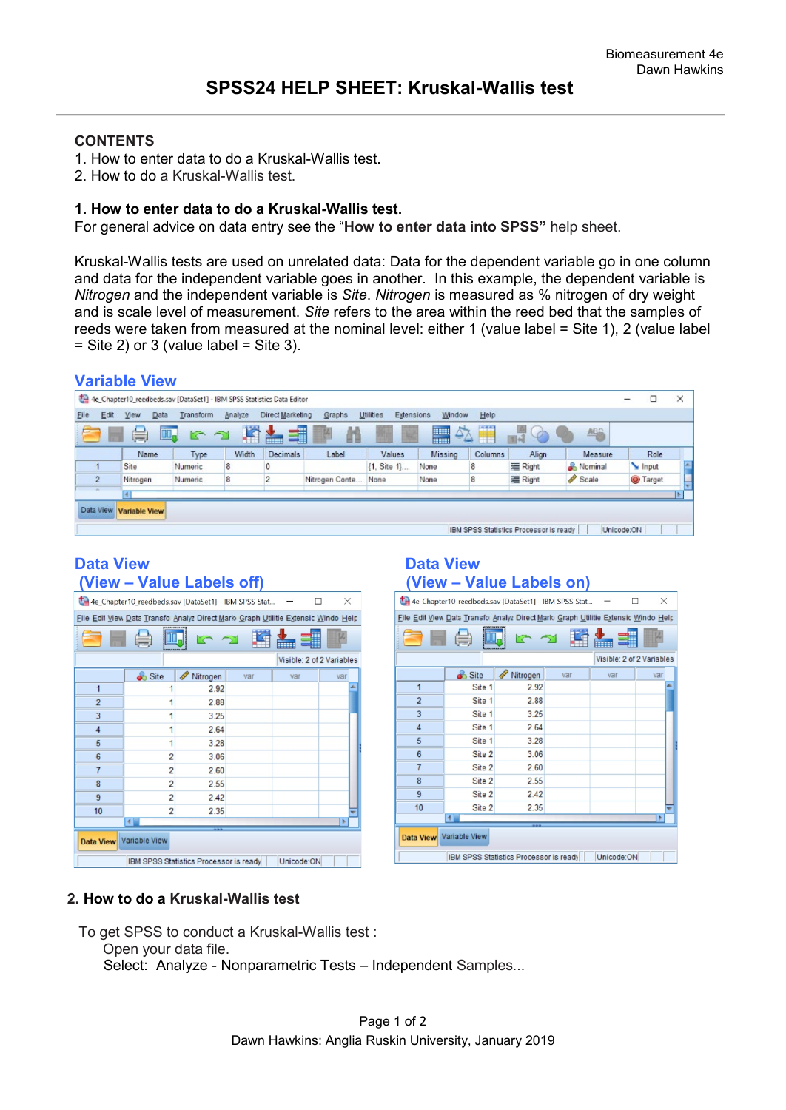### **CONTENTS**

- 1. How to enter data to do a Kruskal-Wallis test.
- 2. How to do a Kruskal-Wallis test.

### **1. How to enter data to do a Kruskal-Wallis test.**

For general advice on data entry see the "**How to enter data into SPSS"** help sheet.

Kruskal-Wallis tests are used on unrelated data: Data for the dependent variable go in one column and data for the independent variable goes in another. In this example, the dependent variable is *Nitrogen* and the independent variable is *Site*. *Nitrogen* is measured as % nitrogen of dry weight and is scale level of measurement. *Site* refers to the area within the reed bed that the samples of reeds were taken from measured at the nominal level: either 1 (value label = Site 1), 2 (value label  $=$  Site 2) or 3 (value label  $=$  Site 3).

### **Variable View**

|           |      |                      | 4e Chapter10_reedbeds.sav [DataSet1] - IBM SPSS Statistics Data Editor |            |                                                                                                                                                                                                                                     |                 |                         |                |                |                                        |            | □<br>-          | $\times$ |
|-----------|------|----------------------|------------------------------------------------------------------------|------------|-------------------------------------------------------------------------------------------------------------------------------------------------------------------------------------------------------------------------------------|-----------------|-------------------------|----------------|----------------|----------------------------------------|------------|-----------------|----------|
| Elle      | Edit | Data<br>View         | Transform                                                              | Analyze    | Direct Marketing                                                                                                                                                                                                                    | Graphs          | Utilities<br>Extensions | Window         | Help           |                                        |            |                 |          |
|           | ۰    | 暠                    | II.<br>こう                                                              | 蹖          | 1<br>the contract of the contract of the contract of the contract of the contract of the contract of the contract of the contract of the contract of the contract of the contract of the contract of the contract of the contract o | 晶               |                         | $\Delta$<br>m. | 1111<br>$\Box$ | $\varphi$                              | <b>ABG</b> |                 |          |
|           |      | Name                 | Type                                                                   | Width      | Decimals                                                                                                                                                                                                                            | Label           | Values                  | Missing        | Columns        | Align                                  | Measure    | Role            |          |
|           |      | Site                 | Numeric                                                                | $\sqrt{8}$ |                                                                                                                                                                                                                                     |                 | {1, Site 1}             | None           | 8              | 三 Right                                | Nominal    | Input           |          |
|           |      | Nitrogen             | Numeric                                                                | 8          |                                                                                                                                                                                                                                     | Nitrogen Conte. | None                    | None           | 8              | 三 Right                                | Scale      | <b>O</b> Target |          |
|           |      |                      |                                                                        |            |                                                                                                                                                                                                                                     |                 |                         |                |                |                                        |            |                 |          |
| Data View |      | <b>Variable View</b> |                                                                        |            |                                                                                                                                                                                                                                     |                 |                         |                |                |                                        |            |                 |          |
|           |      |                      |                                                                        |            |                                                                                                                                                                                                                                     |                 |                         |                |                |                                        |            |                 |          |
|           |      |                      |                                                                        |            |                                                                                                                                                                                                                                     |                 |                         |                |                | IBM SPSS Statistics Processor is ready |            | Unicode:ON      |          |

## **Data View Contract Contract Contract Data View Data View Contract Contract Contract Contract Contract Contract Contract Contract Contract Contract Contract Contract Contract Contract Contract Contract Contract Contract Co**

|                | 4e_Chapter10_reedbeds.sav [DataSet1] - IBM SPSS Stat                              |                                        |     |            | $\times$                  |
|----------------|-----------------------------------------------------------------------------------|----------------------------------------|-----|------------|---------------------------|
|                | File Edil View Data Transfo Analyz Direct Mark Graph Utilitie Extensic Windo Help |                                        |     |            |                           |
|                |                                                                                   |                                        |     |            |                           |
|                |                                                                                   |                                        |     |            | Visible: 2 of 2 Variables |
|                | Site                                                                              | Nitrogen<br>P                          | var | var        | var                       |
| $\overline{1}$ |                                                                                   | 2.92                                   |     |            |                           |
| $\overline{2}$ |                                                                                   | 2.88                                   |     |            |                           |
| $\overline{3}$ |                                                                                   | 3.25                                   |     |            |                           |
| $\overline{4}$ |                                                                                   | 2.64                                   |     |            |                           |
| 5              | 1                                                                                 | 3.28                                   |     |            |                           |
| $6\phantom{1}$ | $\overline{2}$                                                                    | 3.06                                   |     |            |                           |
| $\overline{7}$ | $\overline{2}$                                                                    | 2.60                                   |     |            |                           |
| $\overline{8}$ | $\overline{2}$                                                                    | 2.55                                   |     |            |                           |
| 9              | $\overline{2}$                                                                    | 2.42                                   |     |            |                           |
| 10             | $\overline{2}$                                                                    | 2.35                                   |     |            |                           |
|                | $\blacksquare$                                                                    |                                        |     |            |                           |
|                | Data View Variable View                                                           |                                        |     |            |                           |
|                |                                                                                   | IBM SPSS Statistics Processor is ready |     | Unicode:ON |                           |

# **(View – Value Labels off) (View – Value Labels on)**

|                 | 4e Chapter10_reedbeds.sav [DataSet1] - IBM SPSS Stat                              |                                        |     |            | X                         |
|-----------------|-----------------------------------------------------------------------------------|----------------------------------------|-----|------------|---------------------------|
|                 | File Edil View Data Transfo Analyz Direct Mark Graph Utilitie Extensic Windo Help |                                        |     |            |                           |
|                 |                                                                                   |                                        |     |            |                           |
|                 |                                                                                   |                                        |     |            | Visible: 2 of 2 Variables |
|                 | Site                                                                              | Nitrogen                               | var | var        | var                       |
| $\overline{1}$  | Site 1                                                                            | 2.92                                   |     |            |                           |
| $\overline{2}$  | Site 1                                                                            | 2.88                                   |     |            |                           |
| 3               | Site 1                                                                            | 3.25                                   |     |            |                           |
| $\overline{4}$  | Site 1                                                                            | 2.64                                   |     |            |                           |
| 5               | Site 1                                                                            | 3.28                                   |     |            |                           |
| $6\phantom{1}6$ | Site 2                                                                            | 3.06                                   |     |            |                           |
| $\overline{7}$  | Site 2                                                                            | 2.60                                   |     |            |                           |
| 8               | Site 2                                                                            | 2.55                                   |     |            |                           |
| $\overline{9}$  | Site 2                                                                            | 2.42                                   |     |            |                           |
| 10              | Site 2                                                                            | 2.35                                   |     |            |                           |
|                 |                                                                                   |                                        |     |            |                           |
|                 | Data View Variable View                                                           |                                        |     |            |                           |
|                 |                                                                                   | IBM SPSS Statistics Processor is ready |     | Unicode:ON |                           |

### **2. How to do a Kruskal-Wallis test**

To get SPSS to conduct a Kruskal-Wallis test :

Open your data file.

Select: Analyze - Nonparametric Tests – Independent Samples*...*